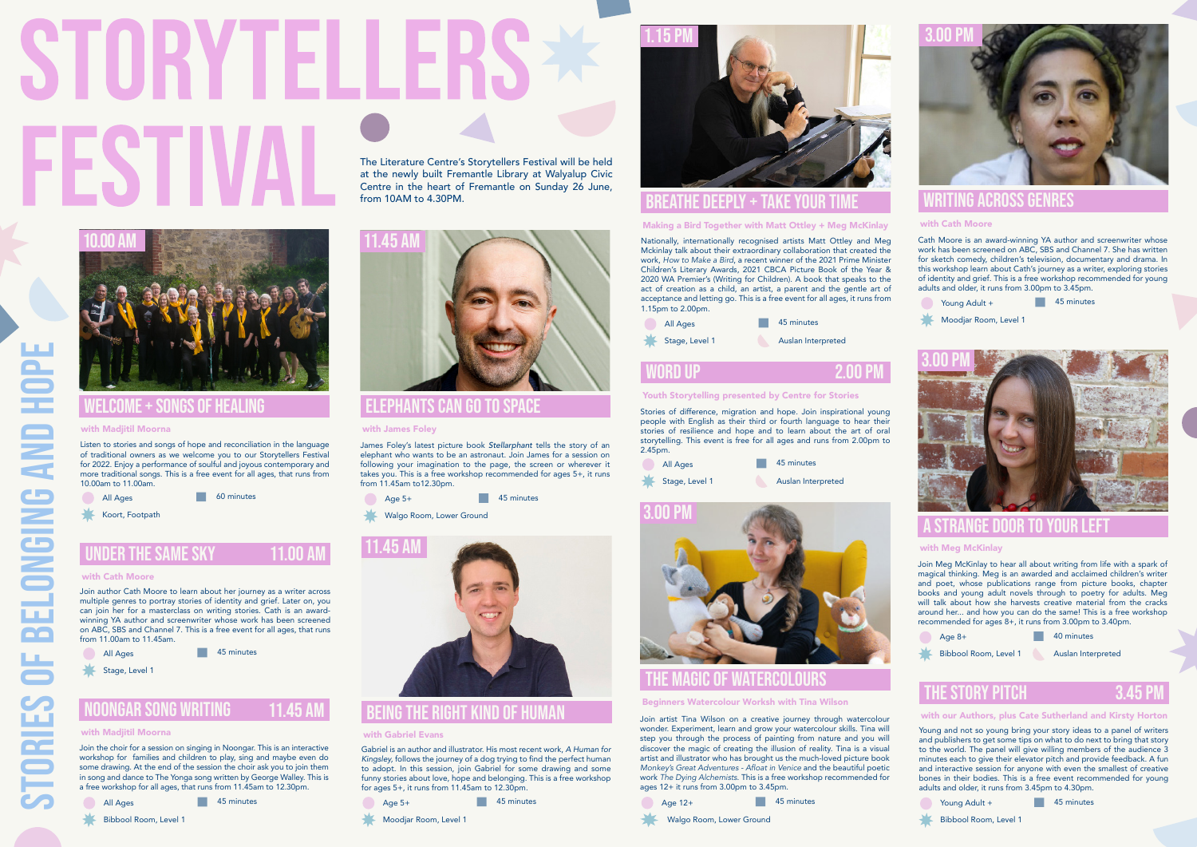STORIES OF BELONGING AND HOPE

**TORIES** 

**BELONGING AND** 

#### being the right kind of human

#### with Gabriel Evans

Gabriel is an author and illustrator. His most recent work, *A Human for Kingsley,* follows the journey of a dog trying to find the perfect human to adopt. In this session, join Gabriel for some drawing and some funny stories about love, hope and belonging. This is a free workshop for ages 5+, it runs from 11.45am to 12.30pm.



# The Literature Centre's Storytellers Festival will be held

at the newly built Fremantle Library at Walyalup Civic Centre in the heart of Fremantle on Sunday 26 June, from 10AM to 4.30PM.



James Foley's latest picture book *Stellarphant* tells the story of an elephant who wants to be an astronaut. Join James for a session on following your imagination to the page, the screen or wherever it takes you. This is a free workshop recommended for ages 5+, it runs from 11.45am to12.30pm.

45 minutes

**Age 5+** 

Walgo Room, Lower Ground

#### elephants can go to space

#### with James Foley

Cath Moore is an award-winning YA author and screenwriter whose work has been screened on ABC, SBS and Channel 7. She has written for sketch comedy, children's television, documentary and drama. In this workshop learn about Cath's journey as a writer, exploring stories of identity and grief. This is a free workshop recommended for young adults and older, it runs from 3.00pm to 3.45pm.

45 minutes Young Adult +



#### writing across genres

#### with Cath Moore



Join Meg McKinlay to hear all about writing from life with a spark of magical thinking. Meg is an awarded and acclaimed children's writer and poet, whose publications range from picture books, chapter books and young adult novels through to poetry for adults. Meg will talk about how she harvests creative material from the cracks around her... and how you can do the same! This is a free workshop recommended for ages 8+, it runs from 3.00pm to 3.40pm.

45 minutes All Ages

Stage, Level 1

#### a strange door to your left

#### with Meg McKinlay

3.00 Pm

Age 8+



40 minutes

Bibbool Room, Level 1 Auslan Interpreted

Young and not so young bring your story ideas to a panel of writers and publishers to get some tips on what to do next to bring that story to the world. The panel will give willing members of the audience 3 minutes each to give their elevator pitch and provide feedback. A fun and interactive session for anyone with even the smallest of creative bones in their bodies. This is a free event recommended for young adults and older, it runs from 3.45pm to 4.30pm.



#### the story pitch

#### with our Authors, plus Cate Sutherland and Kirsty Horton

3.45 Pm

Young Adult +

45 minutes

Bibbool Room, Level 1



45 minutes All Ages

Bibbool Room, Level 1



Moodjar Room, Level 1

#### noongar song writing 11 45 AI

#### with Madiitil Moorna

Join artist Tina Wilson on a creative journey through watercolour wonder. Experiment, learn and grow your watercolour skills. Tina will step you through the process of painting from nature and you will discover the magic of creating the illusion of reality. Tina is a visual artist and illustrator who has brought us the much-loved picture book Monkey's Great Adventures - Afloat in Venice and the beautiful poetic work The Dying Alchemists. This is a free workshop recommended for ages 12+ it runs from 3.00pm to 3.45pm.

#### the magic of watercolours

#### Beginners Watercolour Worksh with Tina Wilson





Join author Cath Moore to learn about her journey as a writer across multiple genres to portray stories of identity and grief. Later on, you can join her for a masterclass on writing stories. Cath is an awardwinning YA author and screenwriter whose work has been screened on ABC, SBS and Channel 7. This is a free event for all ages, that runs from 11.00am to 11.45am.

#### with Cath Moore

Listen to stories and songs of hope and reconciliation in the language of traditional owners as we welcome you to our Storytellers Festival for 2022. Enjoy a performance of soulful and joyous contemporary and more traditional songs. This is a free event for all ages, that runs from 10.00am to 11.00am.

#### welcome + songs of healing

#### with Madiitil Moorna





60 minutes

Koort, Footpath

### **UNDER THE SAME SKY**

11.00 A

Stories of difference, migration and hope. Join inspirational young people with English as their third or fourth language to hear their stories of resilience and hope and to learn about the art of oral storytelling. This event is free for all ages and runs from 2.00pm to 2.45pm.

#### word up

#### Youth Storytelling presented by Centre for Stories

2.00 Pm

Moodjar Room, Level 1



Nationally, internationally recognised artists Matt Ottley and Meg Mckinlay talk about their extraordinary collaboration that created the work, How to Make a Bird, a recent winner of the 2021 Prime Minister Children's Literary Awards, 2021 CBCA Picture Book of the Year & 2020 WA Premier's (Writing for Children). A book that speaks to the act of creation as a child, an artist, a parent and the gentle art of acceptance and letting go. This is a free event for all ages, it runs from 1.15pm to 2.00pm.

#### breathe deeply + take your time

#### Making a Bird Together with Matt Ottley + Meg McKinlay



| All Ages       | 45 minutes         |
|----------------|--------------------|
| Stage, Level 1 | Auslan Interpreted |

Join the choir for a session on singing in Noongar. This is an interactive workshop for families and children to play, sing and maybe even do some drawing. At the end of the session the choir ask you to join them in song and dance to The Yonga song written by George Walley. This is a free workshop for all ages, that runs from 11.45am to 12.30pm.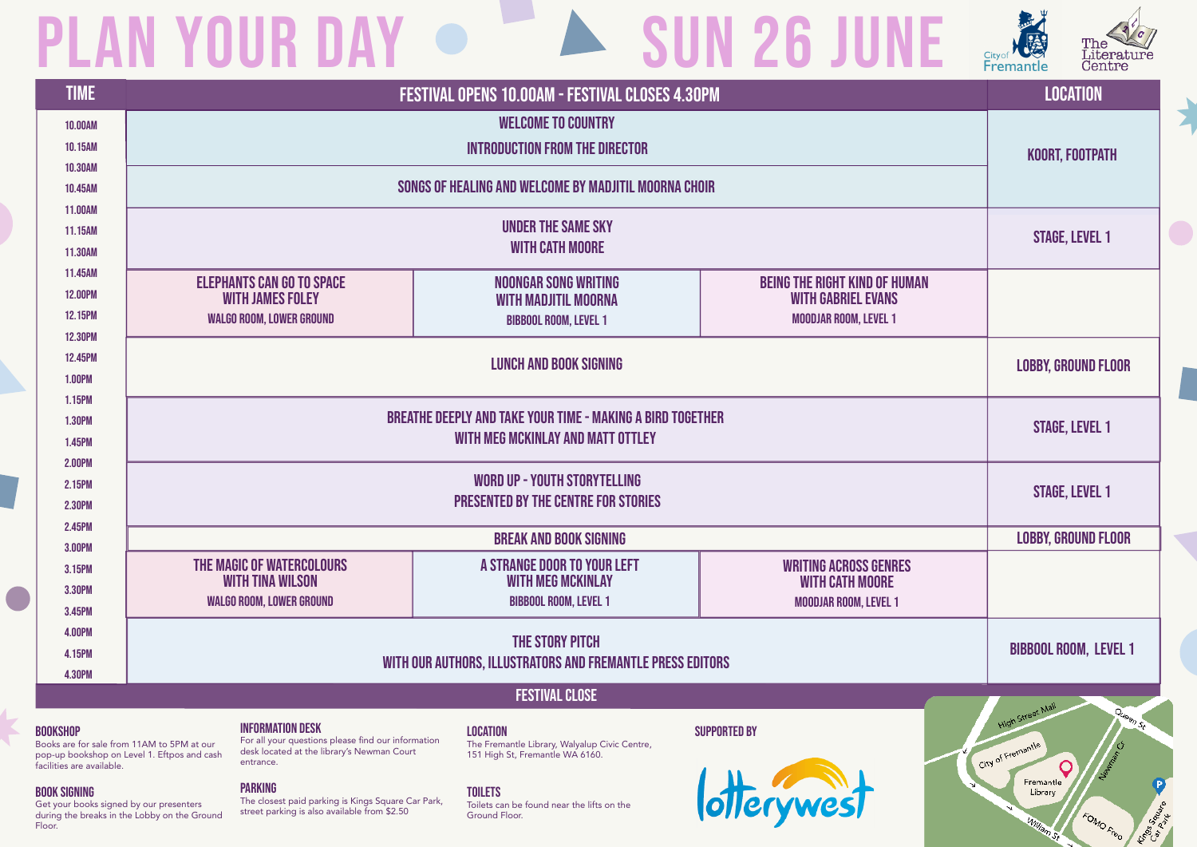Books are for sale from 11AM to 5PM at our pop-up bookshop on Level 1. Eftpos and cash facilities are available.

#### BOOK SIGNING

Get your books signed by our presenters during the breaks in the Lobby on the Ground Floor.

#### PARKING

The closest paid parking is Kings Square Car Park, street parking is also available from \$2.50

#### TOILETS

## PLAN YOUR DAY  $\bullet$  A SUN 26 JUNE

| <b>TIME</b>             | FESTIVAL OPENS 10.00AM - FESTIVAL CLOSES 4.30PM                                                                                                                                                      |                                                                                  |                                                                   | <b>LOCATION</b>                                                                    |
|-------------------------|------------------------------------------------------------------------------------------------------------------------------------------------------------------------------------------------------|----------------------------------------------------------------------------------|-------------------------------------------------------------------|------------------------------------------------------------------------------------|
| <b>10.00AM</b>          |                                                                                                                                                                                                      |                                                                                  |                                                                   |                                                                                    |
| 10.15AM                 |                                                                                                                                                                                                      | KOORT, FOOTPATH                                                                  |                                                                   |                                                                                    |
| <b>10.30AM</b>          |                                                                                                                                                                                                      |                                                                                  |                                                                   |                                                                                    |
| 10.45AM                 | SONGS OF HEALING AND WELCOME BY MADJITIL MOORNA CHOIR                                                                                                                                                |                                                                                  |                                                                   |                                                                                    |
| 11.00AM                 |                                                                                                                                                                                                      |                                                                                  |                                                                   |                                                                                    |
| 11.15AM<br>11.30AM      | <b>UNDER THE SAME SKY</b><br><b>WITH CATH MOORE</b>                                                                                                                                                  |                                                                                  |                                                                   | <b>STAGE, LEVEL 1</b>                                                              |
| 11.45AM                 |                                                                                                                                                                                                      |                                                                                  |                                                                   |                                                                                    |
| <b>12.00PM</b>          | <b>ELEPHANTS CAN GO TO SPACE</b><br><b>WITH JAMES FOLEY</b>                                                                                                                                          | <b>NOONGAR SONG WRITING</b>                                                      | <b>BEING THE RIGHT KIND OF HUMAN</b><br><b>WITH GABRIEL EVANS</b> |                                                                                    |
| <b>12.15PM</b>          | <b>WALGO ROOM, LOWER GROUND</b>                                                                                                                                                                      | <b>WITH MADJITIL MOORNA</b><br><b>BIBBOOL ROOM, LEVEL 1</b>                      | <b>MOODJAR ROOM, LEVEL 1</b>                                      |                                                                                    |
| <b>12.30PM</b>          |                                                                                                                                                                                                      |                                                                                  |                                                                   |                                                                                    |
| 12.45PM                 | <b>LUNCH AND BOOK SIGNING</b>                                                                                                                                                                        |                                                                                  |                                                                   | <b>LOBBY, GROUND FLOOR</b>                                                         |
| <b>1.00PM</b>           |                                                                                                                                                                                                      |                                                                                  |                                                                   |                                                                                    |
| 1.15PM                  |                                                                                                                                                                                                      |                                                                                  |                                                                   |                                                                                    |
| <b>1.30PM</b>           | <b>BREATHE DEEPLY AND TAKE YOUR TIME - MAKING A BIRD TOGETHER</b><br>WITH MEG MCKINLAY AND MATT OTTLEY                                                                                               |                                                                                  |                                                                   | <b>STAGE, LEVEL 1</b>                                                              |
| 1.45PM                  |                                                                                                                                                                                                      |                                                                                  |                                                                   |                                                                                    |
| <b>2.00PM</b>           | <b>WORD UP - YOUTH STORYTELLING</b>                                                                                                                                                                  |                                                                                  |                                                                   |                                                                                    |
| 2.15PM<br><b>2.30PM</b> | <b>PRESENTED BY THE CENTRE FOR STORIES</b>                                                                                                                                                           |                                                                                  |                                                                   | <b>STAGE, LEVEL 1</b>                                                              |
| 2.45PM                  |                                                                                                                                                                                                      |                                                                                  |                                                                   |                                                                                    |
| 3.00PM                  |                                                                                                                                                                                                      | <b>LOBBY, GROUND FLOOR</b>                                                       |                                                                   |                                                                                    |
| 3.15PM                  | THE MAGIC OF WATERCOLOURS                                                                                                                                                                            | A STRANGE DOOR TO YOUR LEFT                                                      | <b>WRITING ACROSS GENRES</b>                                      |                                                                                    |
| <b>3.30PM</b>           | <b>WITH TINA WILSON</b>                                                                                                                                                                              | <b>WITH MEG MCKINLAY</b>                                                         | <b>WITH CATH MOORE</b>                                            |                                                                                    |
| 3.45PM                  | <b>WALGO ROOM, LOWER GROUND</b>                                                                                                                                                                      | <b>BIBBOOL ROOM, LEVEL 1</b>                                                     | <b>MOODJAR ROOM, LEVEL 1</b>                                      |                                                                                    |
| <b>4.00PM</b>           | THE STORY PITCH                                                                                                                                                                                      |                                                                                  |                                                                   |                                                                                    |
| 4.15PM                  | WITH OUR AUTHORS, ILLUSTRATORS AND FREMANTLE PRESS EDITORS                                                                                                                                           |                                                                                  |                                                                   | <b>BIBBOOL ROOM, LEVEL 1</b>                                                       |
| <b>4.30PM</b>           |                                                                                                                                                                                                      |                                                                                  |                                                                   |                                                                                    |
|                         |                                                                                                                                                                                                      | <b>FESTIVAL CLOSE</b>                                                            |                                                                   |                                                                                    |
| <b>KSHOP</b>            | <b>INFORMATION DESK</b>                                                                                                                                                                              | <b>LOCATION</b>                                                                  | <b>SUPPORTED BY</b>                                               | High Street Man<br>$Q_{U_{\Theta_{\mathcal{O}_{\mathcal{P})}}}}$ $\mathcal{S}_{t}$ |
|                         | For all your questions please find our information<br>ks are for sale from 11AM to 5PM at our<br>desk located at the library's Newman Court<br>-up bookshop on Level 1. Eftpos and cash<br>entrance. | The Fremantle Library, Walyalup Civic Centre,<br>151 High St, Fremantle WA 6160. |                                                                   | City of Fremantle                                                                  |

#### B<sub>ool</sub>

Toilets can be found near the lifts on the Ground Floor.







Fremantle Library

FOMO Free